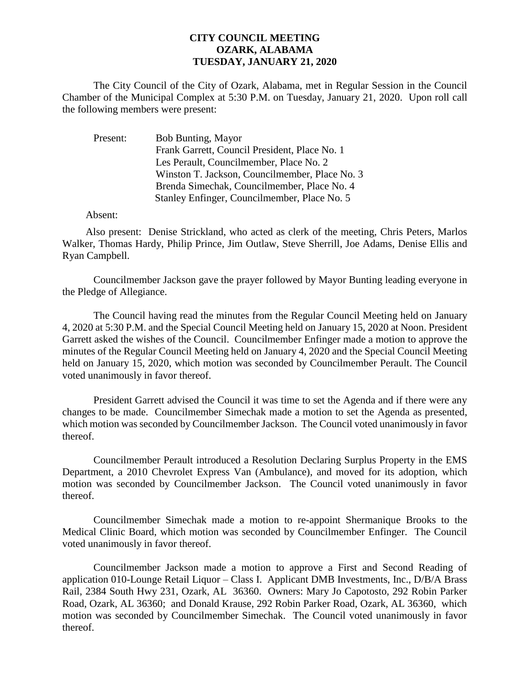## **CITY COUNCIL MEETING OZARK, ALABAMA TUESDAY, JANUARY 21, 2020**

The City Council of the City of Ozark, Alabama, met in Regular Session in the Council Chamber of the Municipal Complex at 5:30 P.M. on Tuesday, January 21, 2020. Upon roll call the following members were present:

| Present: | Bob Bunting, Mayor                             |
|----------|------------------------------------------------|
|          | Frank Garrett, Council President, Place No. 1  |
|          | Les Perault, Councilmember, Place No. 2        |
|          | Winston T. Jackson, Councilmember, Place No. 3 |
|          | Brenda Simechak, Councilmember, Place No. 4    |
|          | Stanley Enfinger, Councilmember, Place No. 5   |

Absent:

Also present: Denise Strickland, who acted as clerk of the meeting, Chris Peters, Marlos Walker, Thomas Hardy, Philip Prince, Jim Outlaw, Steve Sherrill, Joe Adams, Denise Ellis and Ryan Campbell.

Councilmember Jackson gave the prayer followed by Mayor Bunting leading everyone in the Pledge of Allegiance.

The Council having read the minutes from the Regular Council Meeting held on January 4, 2020 at 5:30 P.M. and the Special Council Meeting held on January 15, 2020 at Noon. President Garrett asked the wishes of the Council. Councilmember Enfinger made a motion to approve the minutes of the Regular Council Meeting held on January 4, 2020 and the Special Council Meeting held on January 15, 2020, which motion was seconded by Councilmember Perault. The Council voted unanimously in favor thereof.

President Garrett advised the Council it was time to set the Agenda and if there were any changes to be made. Councilmember Simechak made a motion to set the Agenda as presented, which motion was seconded by Councilmember Jackson. The Council voted unanimously in favor thereof.

Councilmember Perault introduced a Resolution Declaring Surplus Property in the EMS Department, a 2010 Chevrolet Express Van (Ambulance), and moved for its adoption, which motion was seconded by Councilmember Jackson. The Council voted unanimously in favor thereof.

Councilmember Simechak made a motion to re-appoint Shermanique Brooks to the Medical Clinic Board, which motion was seconded by Councilmember Enfinger. The Council voted unanimously in favor thereof.

Councilmember Jackson made a motion to approve a First and Second Reading of application 010-Lounge Retail Liquor – Class I. Applicant DMB Investments, Inc., D/B/A Brass Rail, 2384 South Hwy 231, Ozark, AL 36360. Owners: Mary Jo Capotosto, 292 Robin Parker Road, Ozark, AL 36360; and Donald Krause, 292 Robin Parker Road, Ozark, AL 36360, which motion was seconded by Councilmember Simechak. The Council voted unanimously in favor thereof.